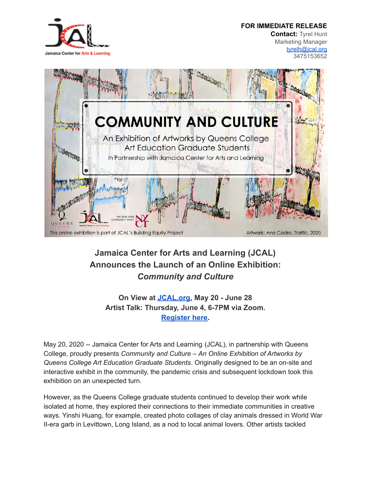## **FOR IMMEDIATE RELEASE**



**Contact:** Tyrel Hunt Marketing Manager [tyrelh@jcal.org](mailto:tyrelh@jcal.org) 3475153652



## **Jamaica Center for Arts and Learning (JCAL) Announces the Launch of an Online Exhibition:** *Community and Culture*

**On View at [JCAL.org](https://www.jcal.org/), May 20 - June 28 Artist Talk: Thursday, June 4, 6-7PM via Zoom. [Register here.](https://zoom.us/meeting/register/tJYuc-2hrjkjE9c0due2j42nwIUzJRuukWV2)**

May 20, 2020 -- Jamaica Center for Arts and Learning (JCAL), in partnership with Queens College, proudly presents *Community and Culture – An Online Exhibition of Artworks by Queens College Art Education Graduate Students*. Originally designed to be an on-site and interactive exhibit in the community, the pandemic crisis and subsequent lockdown took this exhibition on an unexpected turn.

However, as the Queens College graduate students continued to develop their work while isolated at home, they explored their connections to their immediate communities in creative ways. Yinshi Huang, for example, created photo collages of clay animals dressed in World War II-era garb in Levittown, Long Island, as a nod to local animal lovers. Other artists tackled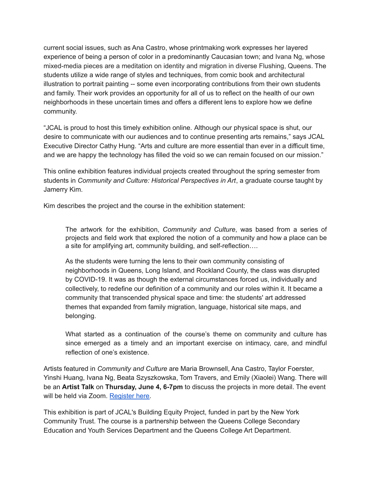current social issues, such as Ana Castro, whose printmaking work expresses her layered experience of being a person of color in a predominantly Caucasian town; and Ivana Ng, whose mixed-media pieces are a meditation on identity and migration in diverse Flushing, Queens. The students utilize a wide range of styles and techniques, from comic book and architectural illustration to portrait painting -- some even incorporating contributions from their own students and family. Their work provides an opportunity for all of us to reflect on the health of our own neighborhoods in these uncertain times and offers a different lens to explore how we define community.

"JCAL is proud to host this timely exhibition online. Although our physical space is shut, our desire to communicate with our audiences and to continue presenting arts remains," says JCAL Executive Director Cathy Hung. "Arts and culture are more essential than ever in a difficult time, and we are happy the technology has filled the void so we can remain focused on our mission."

This online exhibition features individual projects created throughout the spring semester from students in *Community and Culture: Historical Perspectives in Art*, a graduate course taught by Jamerry Kim.

Kim describes the project and the course in the exhibition statement:

The artwork for the exhibition, *Community and Culture*, was based from a series of projects and field work that explored the notion of a community and how a place can be a site for amplifying art, community building, and self-reflection….

As the students were turning the lens to their own community consisting of neighborhoods in Queens, Long Island, and Rockland County, the class was disrupted by COVID-19. It was as though the external circumstances forced us, individually and collectively, to redefine our definition of a community and our roles within it. It became a community that transcended physical space and time: the students' art addressed themes that expanded from family migration, language, historical site maps, and belonging.

What started as a continuation of the course's theme on community and culture has since emerged as a timely and an important exercise on intimacy, care, and mindful reflection of one's existence.

Artists featured in *Community and Culture* are Maria Brownsell, Ana Castro, Taylor Foerster, Yinshi Huang, Ivana Ng, Beata Szyszkowska, Tom Travers, and Emily (Xiaolei) Wang. There will be an **Artist Talk** on **Thursday, June 4, 6-7pm** to discuss the projects in more detail. The event will be held via Zoom. [Register](https://zoom.us/meeting/register/tJYuc-2hrjkjE9c0due2j42nwIUzJRuukWV2) here.

This exhibition is part of JCAL's Building Equity Project, funded in part by the New York Community Trust. The course is a partnership between the Queens College Secondary Education and Youth Services Department and the Queens College Art Department.